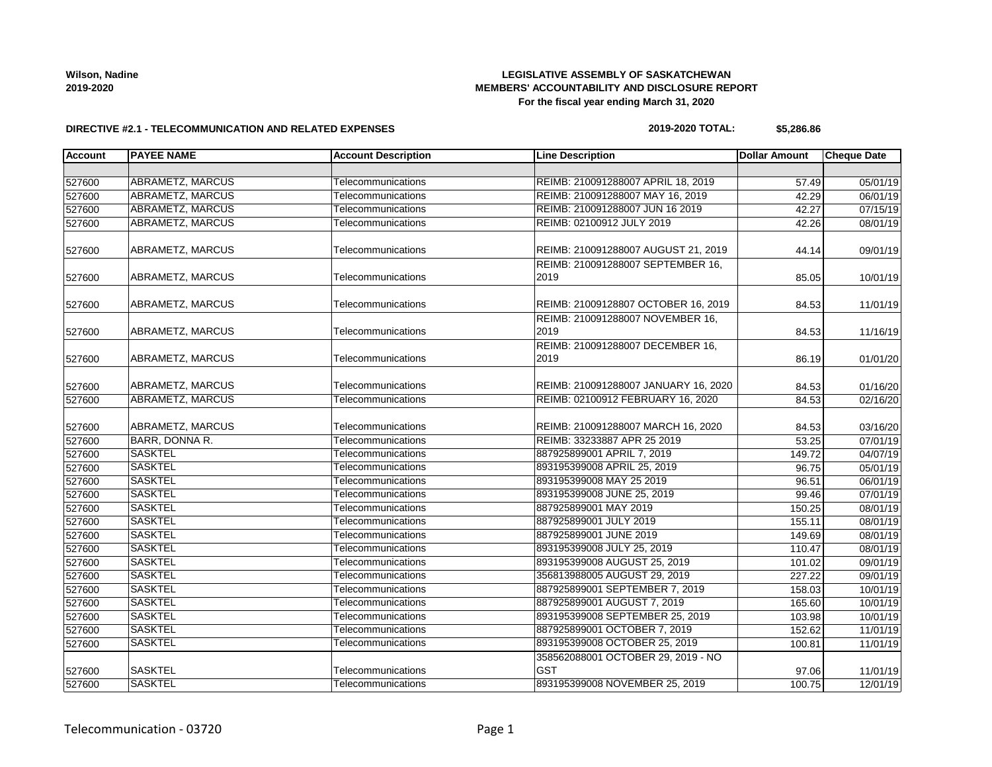## **LEGISLATIVE ASSEMBLY OF SASKATCHEWAN MEMBERS' ACCOUNTABILITY AND DISCLOSURE REPORT For the fiscal year ending March 31, 2020**

### **DIRECTIVE #2.1 - TELECOMMUNICATION AND RELATED EXPENSES**

### **2019-2020 TOTAL: \$5,286.86**

| <b>Account</b> | <b>PAYEE NAME</b>       | <b>Account Description</b> | <b>Line Description</b>              | <b>Dollar Amount</b> | <b>Cheque Date</b> |
|----------------|-------------------------|----------------------------|--------------------------------------|----------------------|--------------------|
|                |                         |                            |                                      |                      |                    |
| 527600         | <b>ABRAMETZ, MARCUS</b> | Telecommunications         | REIMB: 210091288007 APRIL 18, 2019   | 57.49                | 05/01/19           |
| 527600         | <b>ABRAMETZ, MARCUS</b> | Telecommunications         | REIMB: 210091288007 MAY 16, 2019     | 42.29                | 06/01/19           |
| 527600         | <b>ABRAMETZ, MARCUS</b> | Telecommunications         | REIMB: 210091288007 JUN 16 2019      | 42.27                | 07/15/19           |
| 527600         | <b>ABRAMETZ, MARCUS</b> | Telecommunications         | REIMB: 02100912 JULY 2019            | 42.26                | 08/01/19           |
|                |                         |                            |                                      |                      |                    |
| 527600         | ABRAMETZ, MARCUS        | Telecommunications         | REIMB: 210091288007 AUGUST 21, 2019  | 44.14                | 09/01/19           |
|                |                         |                            | REIMB: 210091288007 SEPTEMBER 16.    |                      |                    |
| 527600         | ABRAMETZ, MARCUS        | Telecommunications         | 2019                                 | 85.05                | 10/01/19           |
|                |                         |                            |                                      |                      |                    |
| 527600         | ABRAMETZ, MARCUS        | Telecommunications         | REIMB: 21009128807 OCTOBER 16, 2019  | 84.53                | 11/01/19           |
|                |                         |                            | REIMB: 210091288007 NOVEMBER 16,     |                      |                    |
| 527600         | ABRAMETZ, MARCUS        | Telecommunications         | 2019                                 | 84.53                | 11/16/19           |
|                |                         |                            | REIMB: 210091288007 DECEMBER 16,     |                      |                    |
| 527600         | ABRAMETZ, MARCUS        | Telecommunications         | 2019                                 | 86.19                | 01/01/20           |
|                |                         |                            |                                      |                      |                    |
| 527600         | ABRAMETZ, MARCUS        | Telecommunications         | REIMB: 210091288007 JANUARY 16, 2020 | 84.53                | 01/16/20           |
| 527600         | <b>ABRAMETZ, MARCUS</b> | Telecommunications         | REIMB: 02100912 FEBRUARY 16, 2020    | 84.53                | 02/16/20           |
| 527600         | ABRAMETZ, MARCUS        | Telecommunications         | REIMB: 210091288007 MARCH 16, 2020   | 84.53                | 03/16/20           |
| 527600         | BARR, DONNA R.          | Telecommunications         | REIMB: 33233887 APR 25 2019          | 53.25                | 07/01/19           |
| 527600         | <b>SASKTEL</b>          | Telecommunications         | 887925899001 APRIL 7, 2019           | 149.72               | 04/07/19           |
| 527600         | <b>SASKTEL</b>          | Telecommunications         | 893195399008 APRIL 25, 2019          | 96.75                | 05/01/19           |
| 527600         | <b>SASKTEL</b>          | Telecommunications         | 893195399008 MAY 25 2019             | 96.51                | 06/01/19           |
| 527600         | <b>SASKTEL</b>          | Telecommunications         | 893195399008 JUNE 25, 2019           | 99.46                | 07/01/19           |
| 527600         | <b>SASKTEL</b>          | Telecommunications         | 887925899001 MAY 2019                | 150.25               | 08/01/19           |
| 527600         | <b>SASKTEL</b>          | Telecommunications         | 887925899001 JULY 2019               | 155.11               | 08/01/19           |
| 527600         | <b>SASKTEL</b>          | Telecommunications         | 887925899001 JUNE 2019               | 149.69               | 08/01/19           |
| 527600         | <b>SASKTEL</b>          | Telecommunications         | 893195399008 JULY 25, 2019           | 110.47               | 08/01/19           |
| 527600         | <b>SASKTEL</b>          | Telecommunications         | 893195399008 AUGUST 25, 2019         | 101.02               | 09/01/19           |
| 527600         | <b>SASKTEL</b>          | Telecommunications         | 356813988005 AUGUST 29, 2019         | 227.22               | 09/01/19           |
| 527600         | <b>SASKTEL</b>          | Telecommunications         | 887925899001 SEPTEMBER 7, 2019       | 158.03               | 10/01/19           |
| 527600         | <b>SASKTEL</b>          | Telecommunications         | 887925899001 AUGUST 7, 2019          | 165.60               | 10/01/19           |
| 527600         | <b>SASKTEL</b>          | Telecommunications         | 893195399008 SEPTEMBER 25, 2019      | 103.98               | 10/01/19           |
| 527600         | <b>SASKTEL</b>          | Telecommunications         | 887925899001 OCTOBER 7, 2019         | 152.62               | 11/01/19           |
| 527600         | <b>SASKTEL</b>          | Telecommunications         | 893195399008 OCTOBER 25, 2019        | 100.81               | 11/01/19           |
|                |                         |                            | 358562088001 OCTOBER 29, 2019 - NO   |                      |                    |
| 527600         | <b>SASKTEL</b>          | Telecommunications         | <b>GST</b>                           | 97.06                | 11/01/19           |
| 527600         | <b>SASKTEL</b>          | Telecommunications         | 893195399008 NOVEMBER 25, 2019       | 100.75               | 12/01/19           |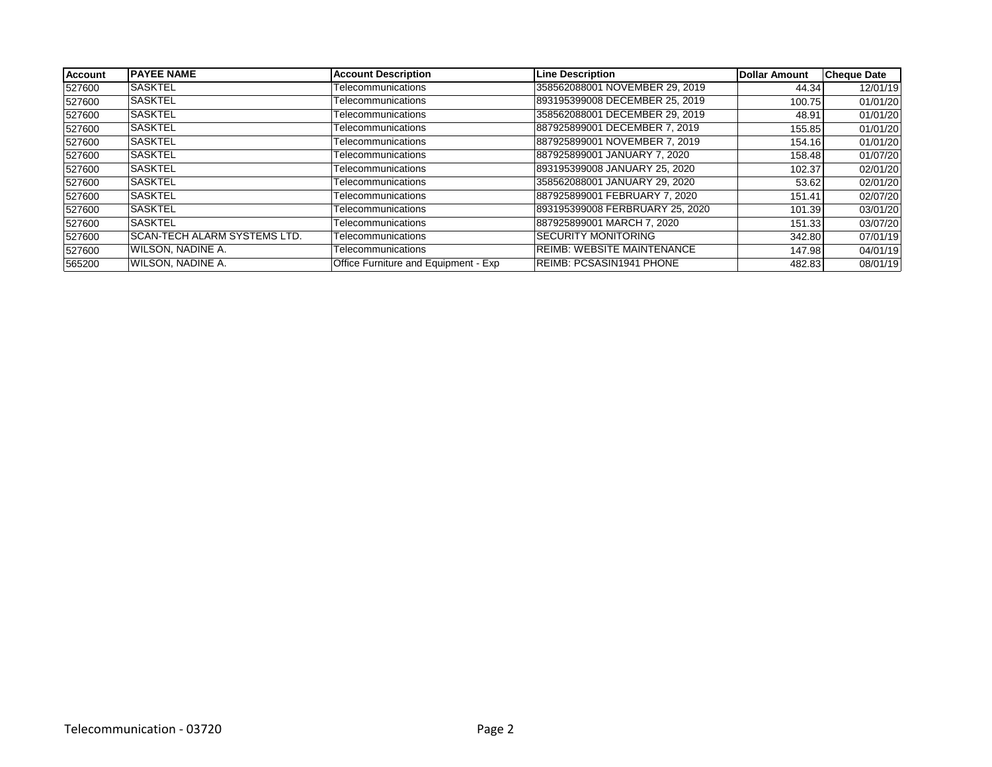| <b>Account</b> | <b>IPAYEE NAME</b>            | <b>Account Description</b>           | <b>Line Description</b>           | <b>Dollar Amount</b> | <b>Cheque Date</b> |
|----------------|-------------------------------|--------------------------------------|-----------------------------------|----------------------|--------------------|
| 527600         | <b>SASKTEL</b>                | Telecommunications                   | 358562088001 NOVEMBER 29, 2019    | 44.34                | 12/01/19           |
| 527600         | <b>SASKTEL</b>                | Telecommunications                   | 893195399008 DECEMBER 25, 2019    | 100.75               | 01/01/20           |
| 527600         | <b>SASKTEL</b>                | Telecommunications                   | 358562088001 DECEMBER 29, 2019    | 48.91                | 01/01/20           |
| 527600         | <b>SASKTEL</b>                | Telecommunications                   | 887925899001 DECEMBER 7, 2019     | 155.85               | 01/01/20           |
| 527600         | <b>SASKTEL</b>                | Telecommunications                   | 887925899001 NOVEMBER 7, 2019     | 154.16               | 01/01/20           |
| 527600         | <b>SASKTEL</b>                | Telecommunications                   | 887925899001 JANUARY 7, 2020      | 158.48               | 01/07/20           |
| 527600         | <b>SASKTEL</b>                | Telecommunications                   | 893195399008 JANUARY 25, 2020     | 102.37               | 02/01/20           |
| 527600         | <b>SASKTEL</b>                | Telecommunications                   | 358562088001 JANUARY 29, 2020     | 53.62                | 02/01/20           |
| 527600         | <b>SASKTEL</b>                | Telecommunications                   | 887925899001 FEBRUARY 7, 2020     | 151.41               | 02/07/20           |
| 527600         | <b>SASKTEL</b>                | Telecommunications                   | 893195399008 FERBRUARY 25, 2020   | 101.39               | 03/01/20           |
| 527600         | <b>SASKTEL</b>                | Telecommunications                   | 887925899001 MARCH 7, 2020        | 151.33               | 03/07/20           |
| 527600         | ISCAN-TECH ALARM SYSTEMS LTD. | Telecommunications                   | <b>SECURITY MONITORING</b>        | 342.80               | 07/01/19           |
| 527600         | WILSON, NADINE A.             | Telecommunications                   | <b>REIMB: WEBSITE MAINTENANCE</b> | 147.98               | 04/01/19           |
| 565200         | WILSON, NADINE A.             | Office Furniture and Equipment - Exp | <b>IREIMB: PCSASIN1941 PHONE</b>  | 482.83               | 08/01/19           |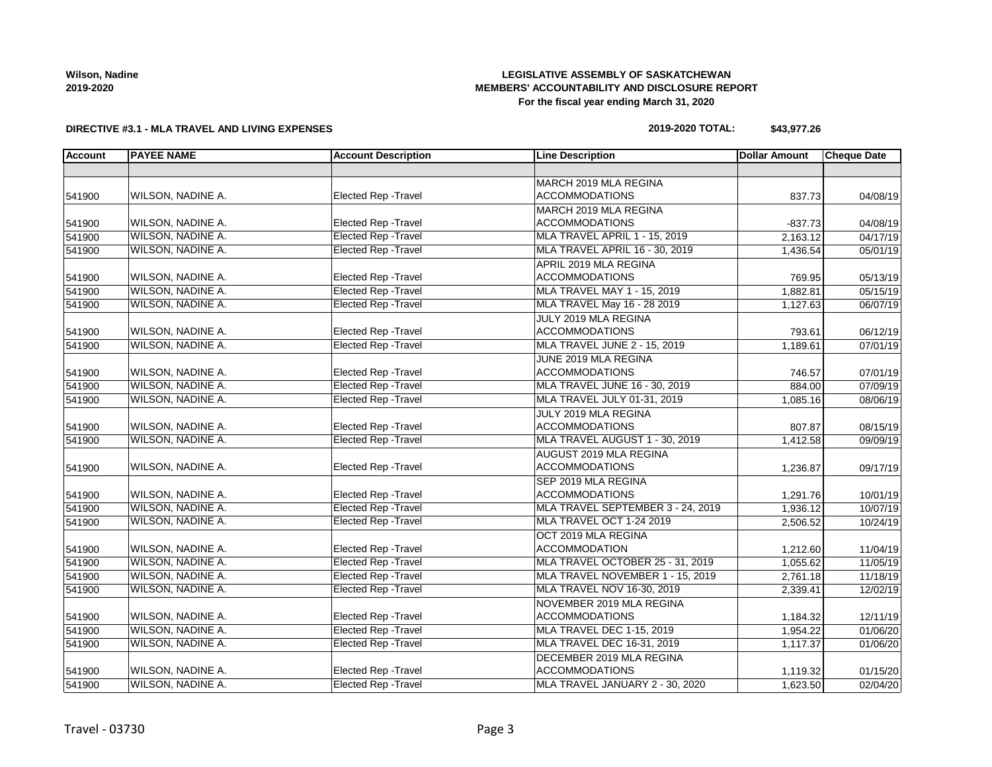## **LEGISLATIVE ASSEMBLY OF SASKATCHEWAN MEMBERS' ACCOUNTABILITY AND DISCLOSURE REPORT For the fiscal year ending March 31, 2020**

## **DIRECTIVE #3.1 - MLA TRAVEL AND LIVING EXPENSES**

## **2019-2020 TOTAL: \$43,977.26**

| <b>Account</b> | <b>PAYEE NAME</b>        | <b>Account Description</b>  | <b>Line Description</b>             | <b>Dollar Amount</b> | <b>Cheque Date</b> |
|----------------|--------------------------|-----------------------------|-------------------------------------|----------------------|--------------------|
|                |                          |                             |                                     |                      |                    |
|                |                          |                             | MARCH 2019 MLA REGINA               |                      |                    |
| 541900         | WILSON, NADINE A.        | Elected Rep - Travel        | <b>ACCOMMODATIONS</b>               | 837.73               | 04/08/19           |
|                |                          |                             | MARCH 2019 MLA REGINA               |                      |                    |
| 541900         | WILSON, NADINE A.        | <b>Elected Rep - Travel</b> | <b>ACCOMMODATIONS</b>               | $-837.73$            | 04/08/19           |
| 541900         | WILSON, NADINE A.        | <b>Elected Rep - Travel</b> | MLA TRAVEL APRIL 1 - 15, 2019       | 2,163.12             | 04/17/19           |
| 541900         | <b>WILSON, NADINE A.</b> | <b>Elected Rep - Travel</b> | MLA TRAVEL APRIL 16 - 30, 2019      | 1,436.54             | 05/01/19           |
|                |                          |                             | APRIL 2019 MLA REGINA               |                      |                    |
| 541900         | <b>WILSON, NADINE A.</b> | Elected Rep - Travel        | <b>ACCOMMODATIONS</b>               | 769.95               | 05/13/19           |
| 541900         | <b>WILSON, NADINE A.</b> | <b>Elected Rep - Travel</b> | MLA TRAVEL MAY 1 - 15, 2019         | 1,882.81             | 05/15/19           |
| 541900         | <b>WILSON, NADINE A.</b> | <b>Elected Rep - Travel</b> | MLA TRAVEL May 16 - 28 2019         | 1,127.63             | 06/07/19           |
|                |                          |                             | JULY 2019 MLA REGINA                |                      |                    |
| 541900         | WILSON, NADINE A.        | Elected Rep - Travel        | <b>ACCOMMODATIONS</b>               | 793.61               | 06/12/19           |
| 541900         | WILSON, NADINE A.        | <b>Elected Rep - Travel</b> | <b>MLA TRAVEL JUNE 2 - 15, 2019</b> | 1,189.61             | 07/01/19           |
|                |                          |                             | JUNE 2019 MLA REGINA                |                      |                    |
| 541900         | <b>WILSON, NADINE A.</b> | <b>Elected Rep - Travel</b> | <b>ACCOMMODATIONS</b>               | 746.57               | 07/01/19           |
| 541900         | <b>WILSON, NADINE A.</b> | <b>Elected Rep - Travel</b> | MLA TRAVEL JUNE 16 - 30, 2019       | 884.00               | 07/09/19           |
| 541900         | <b>WILSON, NADINE A.</b> | <b>Elected Rep - Travel</b> | MLA TRAVEL JULY 01-31, 2019         | 1,085.16             | 08/06/19           |
|                |                          |                             | JULY 2019 MLA REGINA                |                      |                    |
| 541900         | <b>WILSON, NADINE A.</b> | <b>Elected Rep - Travel</b> | <b>ACCOMMODATIONS</b>               | 807.87               | 08/15/19           |
| 541900         | <b>WILSON, NADINE A.</b> | <b>Elected Rep - Travel</b> | MLA TRAVEL AUGUST 1 - 30, 2019      | 1,412.58             | 09/09/19           |
|                |                          |                             | AUGUST 2019 MLA REGINA              |                      |                    |
| 541900         | <b>WILSON, NADINE A.</b> | <b>Elected Rep - Travel</b> | <b>ACCOMMODATIONS</b>               | 1,236.87             | 09/17/19           |
|                |                          |                             | SEP 2019 MLA REGINA                 |                      |                    |
| 541900         | WILSON, NADINE A.        | Elected Rep - Travel        | <b>ACCOMMODATIONS</b>               | 1,291.76             | 10/01/19           |
| 541900         | <b>WILSON, NADINE A.</b> | <b>Elected Rep - Travel</b> | MLA TRAVEL SEPTEMBER 3 - 24, 2019   | 1,936.12             | 10/07/19           |
| 541900         | <b>WILSON, NADINE A.</b> | <b>Elected Rep - Travel</b> | MLA TRAVEL OCT 1-24 2019            | 2,506.52             | 10/24/19           |
|                |                          |                             | OCT 2019 MLA REGINA                 |                      |                    |
| 541900         | WILSON, NADINE A.        | Elected Rep - Travel        | <b>ACCOMMODATION</b>                | 1,212.60             | 11/04/19           |
| 541900         | <b>WILSON, NADINE A.</b> | <b>Elected Rep - Travel</b> | MLA TRAVEL OCTOBER 25 - 31, 2019    | 1,055.62             | 11/05/19           |
| 541900         | <b>WILSON, NADINE A.</b> | <b>Elected Rep - Travel</b> | MLA TRAVEL NOVEMBER 1 - 15, 2019    | 2,761.18             | 11/18/19           |
| 541900         | <b>WILSON, NADINE A.</b> | <b>Elected Rep - Travel</b> | MLA TRAVEL NOV 16-30, 2019          | 2,339.41             | 12/02/19           |
|                |                          |                             | NOVEMBER 2019 MLA REGINA            |                      |                    |
| 541900         | WILSON, NADINE A.        | <b>Elected Rep - Travel</b> | <b>ACCOMMODATIONS</b>               | 1,184.32             | 12/11/19           |
| 541900         | WILSON, NADINE A.        | <b>Elected Rep - Travel</b> | <b>MLA TRAVEL DEC 1-15, 2019</b>    | 1.954.22             | 01/06/20           |
| 541900         | WILSON, NADINE A.        | <b>Elected Rep - Travel</b> | MLA TRAVEL DEC 16-31, 2019          | 1,117.37             | 01/06/20           |
|                |                          |                             | DECEMBER 2019 MLA REGINA            |                      |                    |
| 541900         | WILSON, NADINE A.        | Elected Rep - Travel        | <b>ACCOMMODATIONS</b>               | 1,119.32             | 01/15/20           |
| 541900         | <b>WILSON, NADINE A.</b> | <b>Elected Rep - Travel</b> | MLA TRAVEL JANUARY 2 - 30, 2020     | 1,623.50             | 02/04/20           |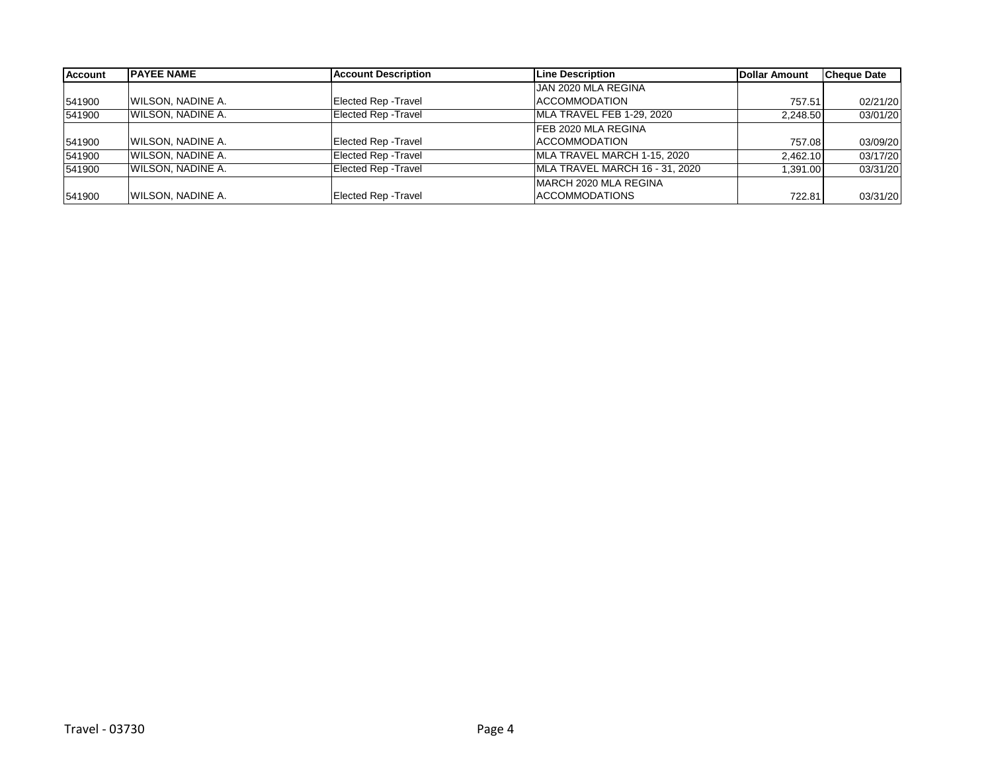| Account | <b>PAYEE NAME</b>        | <b>Account Description</b>  | Line Description               | <b>Dollar Amount</b> | <b>Cheque Date</b> |
|---------|--------------------------|-----------------------------|--------------------------------|----------------------|--------------------|
|         |                          |                             | JAN 2020 MLA REGINA            |                      |                    |
| 541900  | <b>WILSON, NADINE A.</b> | Elected Rep - Travel        | <b>ACCOMMODATION</b>           | 757.51               | 02/21/20           |
| 541900  | WILSON, NADINE A.        | <b>Elected Rep - Travel</b> | MLA TRAVEL FEB 1-29, 2020      | 2.248.50             | 03/01/20           |
|         |                          |                             | <b>FEB 2020 MLA REGINA</b>     |                      |                    |
| 541900  | <b>WILSON, NADINE A.</b> | <b>Elected Rep - Travel</b> | <b>ACCOMMODATION</b>           | 757.08               | 03/09/20           |
| 541900  | WILSON, NADINE A.        | <b>Elected Rep - Travel</b> | MLA TRAVEL MARCH 1-15, 2020    | 2,462.10             | 03/17/20           |
| 541900  | <b>WILSON, NADINE A.</b> | <b>Elected Rep - Travel</b> | MLA TRAVEL MARCH 16 - 31, 2020 | 1.391.00             | 03/31/20           |
|         |                          |                             | MARCH 2020 MLA REGINA          |                      |                    |
| 541900  | <b>WILSON, NADINE A.</b> | <b>Elected Rep - Travel</b> | <b>ACCOMMODATIONS</b>          | 722.81               | 03/31/20           |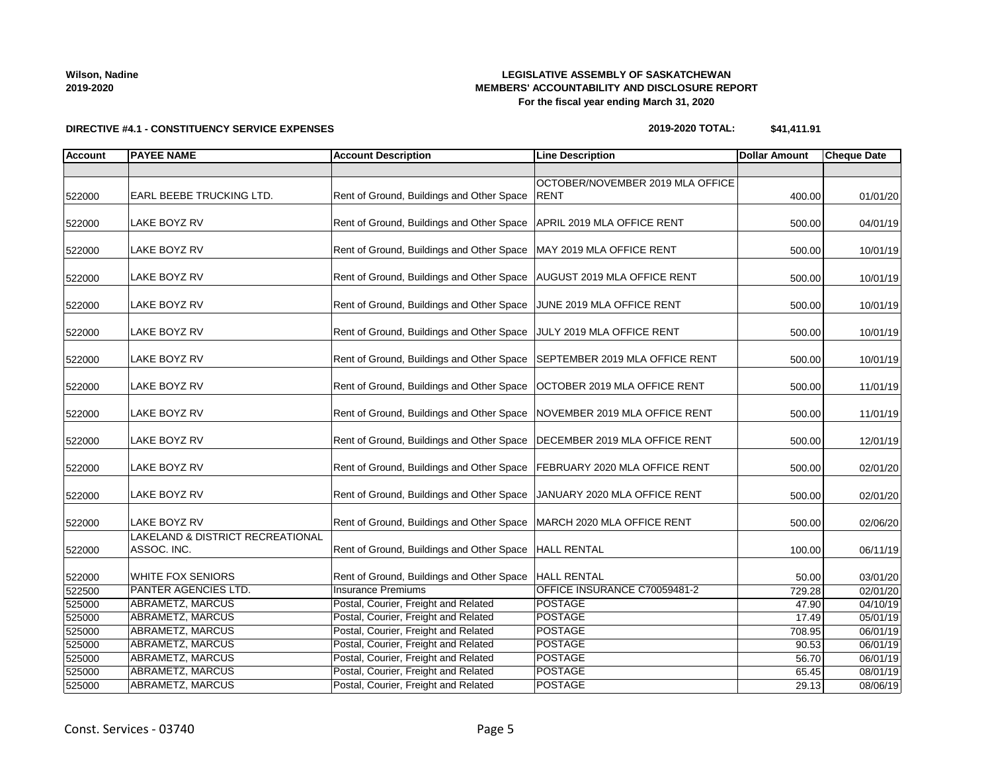## **LEGISLATIVE ASSEMBLY OF SASKATCHEWAN MEMBERS' ACCOUNTABILITY AND DISCLOSURE REPORT For the fiscal year ending March 31, 2020**

# **DIRECTIVE #4.1 - CONSTITUENCY SERVICE EXPENSES**

| 2019-2020 TOTAL: | \$41,411.91 |
|------------------|-------------|
|------------------|-------------|

| <b>Account</b> | <b>PAYEE NAME</b>                               | <b>Account Description</b>                                          | <b>Line Description</b>                         | <b>Dollar Amount</b> | <b>Cheque Date</b>    |
|----------------|-------------------------------------------------|---------------------------------------------------------------------|-------------------------------------------------|----------------------|-----------------------|
|                |                                                 |                                                                     |                                                 |                      |                       |
| 522000         | EARL BEEBE TRUCKING LTD.                        | Rent of Ground, Buildings and Other Space                           | OCTOBER/NOVEMBER 2019 MLA OFFICE<br><b>RENT</b> | 400.00               | 01/01/20              |
| 522000         | LAKE BOYZ RV                                    | Rent of Ground, Buildings and Other Space                           | APRIL 2019 MLA OFFICE RENT                      | 500.00               | 04/01/19              |
| 522000         | LAKE BOYZ RV                                    | Rent of Ground, Buildings and Other Space                           | MAY 2019 MLA OFFICE RENT                        | 500.00               | 10/01/19              |
| 522000         | LAKE BOYZ RV                                    | Rent of Ground, Buildings and Other Space                           | AUGUST 2019 MLA OFFICE RENT                     | 500.00               | 10/01/19              |
| 522000         | LAKE BOYZ RV                                    | Rent of Ground, Buildings and Other Space                           | JUNE 2019 MLA OFFICE RENT                       | 500.00               | 10/01/19              |
| 522000         | LAKE BOYZ RV                                    | Rent of Ground, Buildings and Other Space JULY 2019 MLA OFFICE RENT |                                                 | 500.00               | 10/01/19              |
| 522000         | LAKE BOYZ RV                                    | Rent of Ground, Buildings and Other Space                           | SEPTEMBER 2019 MLA OFFICE RENT                  | 500.00               | 10/01/19              |
| 522000         | LAKE BOYZ RV                                    | Rent of Ground, Buildings and Other Space                           | OCTOBER 2019 MLA OFFICE RENT                    | 500.00               | 11/01/19              |
| 522000         | LAKE BOYZ RV                                    | Rent of Ground, Buildings and Other Space                           | NOVEMBER 2019 MLA OFFICE RENT                   | 500.00               | 11/01/19              |
| 522000         | LAKE BOYZ RV                                    | Rent of Ground, Buildings and Other Space                           | DECEMBER 2019 MLA OFFICE RENT                   | 500.00               | 12/01/19              |
| 522000         | LAKE BOYZ RV                                    | Rent of Ground, Buildings and Other Space                           | FEBRUARY 2020 MLA OFFICE RENT                   | 500.00               | 02/01/20              |
| 522000         | LAKE BOYZ RV                                    | Rent of Ground, Buildings and Other Space                           | JANUARY 2020 MLA OFFICE RENT                    | 500.00               | 02/01/20              |
| 522000         | LAKE BOYZ RV                                    | Rent of Ground, Buildings and Other Space                           | MARCH 2020 MLA OFFICE RENT                      | 500.00               | 02/06/20              |
| 522000         | LAKELAND & DISTRICT RECREATIONAL<br>ASSOC. INC. | Rent of Ground, Buildings and Other Space                           | <b>HALL RENTAL</b>                              | 100.00               | 06/11/19              |
| 522000         | <b>WHITE FOX SENIORS</b>                        | Rent of Ground, Buildings and Other Space                           | <b>HALL RENTAL</b>                              | 50.00                | 03/01/20              |
| 522500         | PANTER AGENCIES LTD.                            | <b>Insurance Premiums</b>                                           | OFFICE INSURANCE C70059481-2                    | 729.28               | 02/01/20              |
| 525000         | <b>ABRAMETZ, MARCUS</b>                         | Postal, Courier, Freight and Related                                | <b>POSTAGE</b>                                  | 47.90                | $\overline{04/10/19}$ |
| 525000         | <b>ABRAMETZ, MARCUS</b>                         | Postal, Courier, Freight and Related                                | <b>POSTAGE</b>                                  | 17.49                | 05/01/19              |
| 525000         | ABRAMETZ, MARCUS                                | Postal, Courier, Freight and Related                                | <b>POSTAGE</b>                                  | 708.95               | 06/01/19              |
| 525000         | <b>ABRAMETZ, MARCUS</b>                         | Postal, Courier, Freight and Related                                | POSTAGE                                         | 90.53                | 06/01/19              |
| 525000         | <b>ABRAMETZ, MARCUS</b>                         | Postal, Courier, Freight and Related                                | <b>POSTAGE</b>                                  | 56.70                | 06/01/19              |
| 525000         | <b>ABRAMETZ, MARCUS</b>                         | Postal, Courier, Freight and Related                                | <b>POSTAGE</b>                                  | 65.45                | 08/01/19              |
| 525000         | <b>ABRAMETZ, MARCUS</b>                         | Postal, Courier, Freight and Related                                | <b>POSTAGE</b>                                  | 29.13                | 08/06/19              |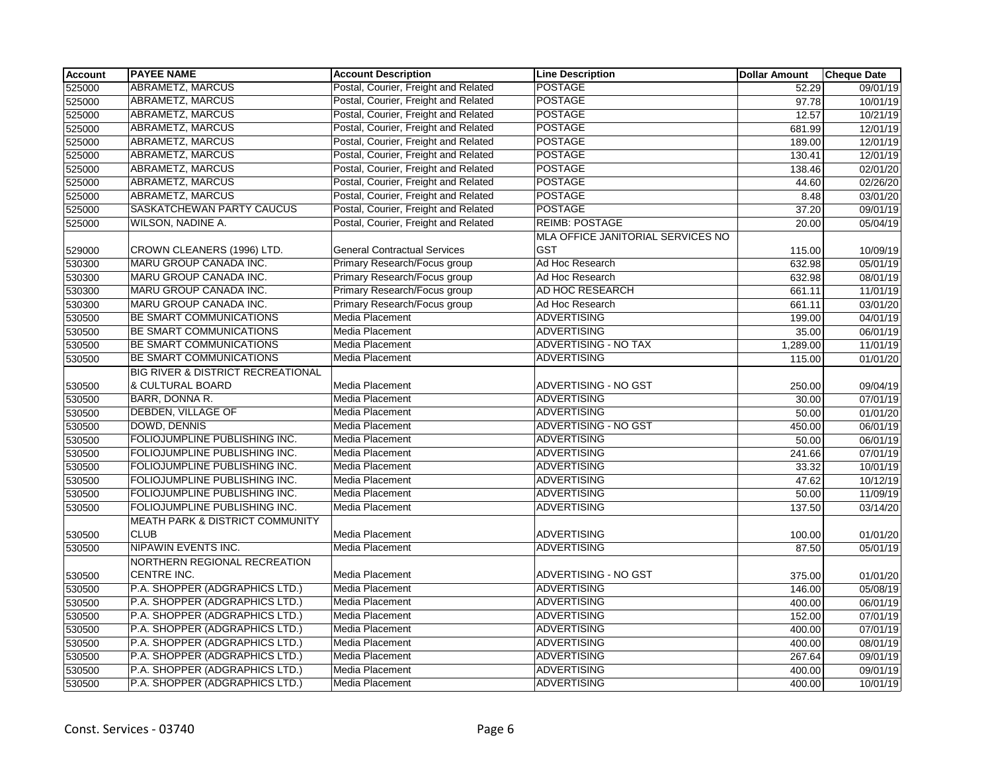| <b>Account</b> | <b>PAYEE NAME</b>                            | <b>Account Description</b>           | <b>Line Description</b>           | <b>Dollar Amount</b> | <b>Cheque Date</b> |
|----------------|----------------------------------------------|--------------------------------------|-----------------------------------|----------------------|--------------------|
| 525000         | ABRAMETZ, MARCUS                             | Postal, Courier, Freight and Related | <b>POSTAGE</b>                    | 52.29                | 09/01/19           |
| 525000         | ABRAMETZ, MARCUS                             | Postal, Courier, Freight and Related | <b>POSTAGE</b>                    | 97.78                | 10/01/19           |
| 525000         | ABRAMETZ, MARCUS                             | Postal, Courier, Freight and Related | <b>POSTAGE</b>                    | 12.57                | 10/21/19           |
| 525000         | ABRAMETZ, MARCUS                             | Postal, Courier, Freight and Related | <b>POSTAGE</b>                    | 681.99               | 12/01/19           |
| 525000         | <b>ABRAMETZ, MARCUS</b>                      | Postal, Courier, Freight and Related | <b>POSTAGE</b>                    | 189.00               | 12/01/19           |
| 525000         | ABRAMETZ, MARCUS                             | Postal, Courier, Freight and Related | <b>POSTAGE</b>                    | 130.41               | 12/01/19           |
| 525000         | ABRAMETZ, MARCUS                             | Postal, Courier, Freight and Related | <b>POSTAGE</b>                    | 138.46               | 02/01/20           |
| 525000         | ABRAMETZ, MARCUS                             | Postal, Courier, Freight and Related | <b>POSTAGE</b>                    | 44.60                | 02/26/20           |
| 525000         | ABRAMETZ, MARCUS                             | Postal, Courier, Freight and Related | <b>POSTAGE</b>                    | 8.48                 | 03/01/20           |
| 525000         | SASKATCHEWAN PARTY CAUCUS                    | Postal, Courier, Freight and Related | <b>POSTAGE</b>                    | 37.20                | 09/01/19           |
| 525000         | WILSON, NADINE A.                            | Postal, Courier, Freight and Related | <b>REIMB: POSTAGE</b>             | 20.00                | 05/04/19           |
|                |                                              |                                      | MLA OFFICE JANITORIAL SERVICES NO |                      |                    |
| 529000         | CROWN CLEANERS (1996) LTD.                   | <b>General Contractual Services</b>  | <b>GST</b>                        | 115.00               | 10/09/19           |
| 530300         | MARU GROUP CANADA INC.                       | Primary Research/Focus group         | Ad Hoc Research                   | 632.98               | 05/01/19           |
| 530300         | <b>MARU GROUP CANADA INC.</b>                | Primary Research/Focus group         | Ad Hoc Research                   | 632.98               | 08/01/19           |
| 530300         | MARU GROUP CANADA INC.                       | Primary Research/Focus group         | AD HOC RESEARCH                   | 661.11               | 11/01/19           |
| 530300         | MARU GROUP CANADA INC.                       | Primary Research/Focus group         | Ad Hoc Research                   | 661.11               | 03/01/20           |
| 530500         | BE SMART COMMUNICATIONS                      | Media Placement                      | <b>ADVERTISING</b>                | 199.00               | 04/01/19           |
| 530500         | BE SMART COMMUNICATIONS                      | Media Placement                      | <b>ADVERTISING</b>                | 35.00                | 06/01/19           |
| 530500         | BE SMART COMMUNICATIONS                      | <b>Media Placement</b>               | <b>ADVERTISING - NO TAX</b>       | 1,289.00             | 11/01/19           |
| 530500         | <b>BE SMART COMMUNICATIONS</b>               | <b>Media Placement</b>               | <b>ADVERTISING</b>                | 115.00               | 01/01/20           |
|                | <b>BIG RIVER &amp; DISTRICT RECREATIONAL</b> |                                      |                                   |                      |                    |
| 530500         | & CULTURAL BOARD                             | Media Placement                      | ADVERTISING - NO GST              | 250.00               | 09/04/19           |
| 530500         | BARR, DONNA R.                               | Media Placement                      | ADVERTISING                       | 30.00                | 07/01/19           |
| 530500         | <b>DEBDEN, VILLAGE OF</b>                    | Media Placement                      | <b>ADVERTISING</b>                | 50.00                | 01/01/20           |
| 530500         | DOWD, DENNIS                                 | Media Placement                      | <b>ADVERTISING - NO GST</b>       | 450.00               | 06/01/19           |
| 530500         | FOLIOJUMPLINE PUBLISHING INC.                | <b>Media Placement</b>               | <b>ADVERTISING</b>                | 50.00                | 06/01/19           |
| 530500         | FOLIOJUMPLINE PUBLISHING INC.                | Media Placement                      | <b>ADVERTISING</b>                | 241.66               | 07/01/19           |
| 530500         | FOLIOJUMPLINE PUBLISHING INC.                | Media Placement                      | <b>ADVERTISING</b>                | 33.32                | 10/01/19           |
| 530500         | FOLIOJUMPLINE PUBLISHING INC.                | Media Placement                      | <b>ADVERTISING</b>                | 47.62                | 10/12/19           |
| 530500         | FOLIOJUMPLINE PUBLISHING INC.                | Media Placement                      | <b>ADVERTISING</b>                | 50.00                | 11/09/19           |
| 530500         | FOLIOJUMPLINE PUBLISHING INC.                | <b>Media Placement</b>               | <b>ADVERTISING</b>                | 137.50               | 03/14/20           |
|                | MEATH PARK & DISTRICT COMMUNITY              |                                      |                                   |                      |                    |
| 530500         | <b>CLUB</b>                                  | <b>Media Placement</b>               | <b>ADVERTISING</b>                | 100.00               | 01/01/20           |
| 530500         | NIPAWIN EVENTS INC.                          | <b>Media Placement</b>               | <b>ADVERTISING</b>                | 87.50                | 05/01/19           |
|                | NORTHERN REGIONAL RECREATION                 |                                      |                                   |                      |                    |
| 530500         | CENTRE INC.                                  | Media Placement                      | ADVERTISING - NO GST              | 375.00               | 01/01/20           |
| 530500         | P.A. SHOPPER (ADGRAPHICS LTD.)               | Media Placement                      | ADVERTISING                       | 146.00               | 05/08/19           |
| 530500         | P.A. SHOPPER (ADGRAPHICS LTD.)               | Media Placement                      | <b>ADVERTISING</b>                | 400.00               | 06/01/19           |
| 530500         | P.A. SHOPPER (ADGRAPHICS LTD.)               | Media Placement                      | <b>ADVERTISING</b>                | 152.00               | 07/01/19           |
| 530500         | P.A. SHOPPER (ADGRAPHICS LTD.)               | <b>Media Placement</b>               | <b>ADVERTISING</b>                | 400.00               | 07/01/19           |
| 530500         | P.A. SHOPPER (ADGRAPHICS LTD.)               | Media Placement                      | ADVERTISING                       | 400.00               | 08/01/19           |
| 530500         | P.A. SHOPPER (ADGRAPHICS LTD.)               | Media Placement                      | <b>ADVERTISING</b>                | 267.64               | 09/01/19           |
| 530500         | P.A. SHOPPER (ADGRAPHICS LTD.)               | Media Placement                      | <b>ADVERTISING</b>                | 400.00               | 09/01/19           |
| 530500         | P.A. SHOPPER (ADGRAPHICS LTD.)               | Media Placement                      | <b>ADVERTISING</b>                | 400.00               | 10/01/19           |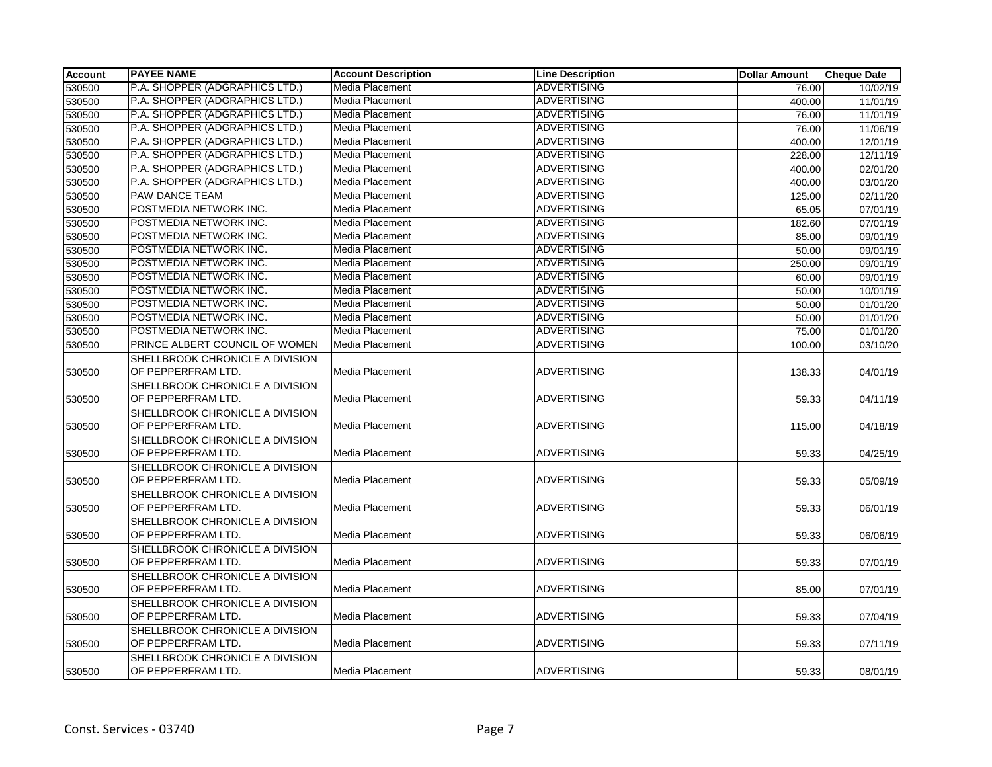| <b>Account</b> | <b>PAYEE NAME</b>                                     | <b>Account Description</b> | <b>Line Description</b> | <b>Dollar Amount</b> | <b>Cheque Date</b>    |
|----------------|-------------------------------------------------------|----------------------------|-------------------------|----------------------|-----------------------|
| 530500         | P.A. SHOPPER (ADGRAPHICS LTD.)                        | Media Placement            | <b>ADVERTISING</b>      | 76.00                | 10/02/19              |
| 530500         | P.A. SHOPPER (ADGRAPHICS LTD.)                        | <b>Media Placement</b>     | <b>ADVERTISING</b>      | 400.00               | 11/01/19              |
| 530500         | P.A. SHOPPER (ADGRAPHICS LTD.)                        | Media Placement            | <b>ADVERTISING</b>      | 76.00                | 11/01/19              |
| 530500         | P.A. SHOPPER (ADGRAPHICS LTD.)                        | Media Placement            | <b>ADVERTISING</b>      | 76.00                | 11/06/19              |
| 530500         | P.A. SHOPPER (ADGRAPHICS LTD.)                        | Media Placement            | <b>ADVERTISING</b>      | 400.00               | 12/01/19              |
| 530500         | P.A. SHOPPER (ADGRAPHICS LTD.)                        | Media Placement            | <b>ADVERTISING</b>      | 228.00               | 12/11/19              |
| 530500         | P.A. SHOPPER (ADGRAPHICS LTD.)                        | Media Placement            | <b>ADVERTISING</b>      | 400.00               | 02/01/20              |
| 530500         | P.A. SHOPPER (ADGRAPHICS LTD.)                        | Media Placement            | <b>ADVERTISING</b>      | 400.00               | 03/01/20              |
| 530500         | <b>PAW DANCE TEAM</b>                                 | Media Placement            | <b>ADVERTISING</b>      | 125.00               | 02/11/20              |
| 530500         | POSTMEDIA NETWORK INC.                                | Media Placement            | <b>ADVERTISING</b>      | 65.05                | 07/01/19              |
| 530500         | POSTMEDIA NETWORK INC.                                | <b>Media Placement</b>     | <b>ADVERTISING</b>      | 182.60               | 07/01/19              |
| 530500         | POSTMEDIA NETWORK INC.                                | Media Placement            | <b>ADVERTISING</b>      | 85.00                | 09/01/19              |
| 530500         | POSTMEDIA NETWORK INC.                                | Media Placement            | <b>ADVERTISING</b>      | 50.00                | 09/01/19              |
| 530500         | POSTMEDIA NETWORK INC.                                | Media Placement            | <b>ADVERTISING</b>      | 250.00               | 09/01/19              |
| 530500         | POSTMEDIA NETWORK INC.                                | Media Placement            | <b>ADVERTISING</b>      | 60.00                | 09/01/19              |
| 530500         | POSTMEDIA NETWORK INC.                                | Media Placement            | <b>ADVERTISING</b>      | 50.00                | 10/01/19              |
| 530500         | POSTMEDIA NETWORK INC.                                | Media Placement            | <b>ADVERTISING</b>      | 50.00                | 01/01/20              |
| 530500         | POSTMEDIA NETWORK INC.                                | Media Placement            | <b>ADVERTISING</b>      | 50.00                | $\overline{01/01/20}$ |
| 530500         | POSTMEDIA NETWORK INC.                                | Media Placement            | <b>ADVERTISING</b>      | 75.00                | 01/01/20              |
| 530500         | PRINCE ALBERT COUNCIL OF WOMEN                        | Media Placement            | <b>ADVERTISING</b>      | 100.00               | 03/10/20              |
| 530500         | SHELLBROOK CHRONICLE A DIVISION<br>OF PEPPERFRAM LTD. | Media Placement            | <b>ADVERTISING</b>      | 138.33               | 04/01/19              |
| 530500         | SHELLBROOK CHRONICLE A DIVISION<br>OF PEPPERFRAM LTD. | Media Placement            | <b>ADVERTISING</b>      | 59.33                | 04/11/19              |
| 530500         | SHELLBROOK CHRONICLE A DIVISION<br>OF PEPPERFRAM LTD. | Media Placement            | <b>ADVERTISING</b>      | 115.00               | 04/18/19              |
|                | SHELLBROOK CHRONICLE A DIVISION                       |                            |                         |                      |                       |
| 530500         | OF PEPPERFRAM LTD.                                    | Media Placement            | <b>ADVERTISING</b>      | 59.33                | 04/25/19              |
|                | SHELLBROOK CHRONICLE A DIVISION                       |                            |                         |                      |                       |
| 530500         | OF PEPPERFRAM LTD.                                    | Media Placement            | <b>ADVERTISING</b>      | 59.33                | 05/09/19              |
|                | SHELLBROOK CHRONICLE A DIVISION                       |                            |                         |                      |                       |
| 530500         | OF PEPPERFRAM LTD.                                    | Media Placement            | <b>ADVERTISING</b>      | 59.33                | 06/01/19              |
|                | SHELLBROOK CHRONICLE A DIVISION                       |                            |                         |                      |                       |
| 530500         | OF PEPPERFRAM LTD.                                    | Media Placement            | <b>ADVERTISING</b>      | 59.33                | 06/06/19              |
|                | SHELLBROOK CHRONICLE A DIVISION                       |                            |                         |                      |                       |
| 530500         | OF PEPPERFRAM LTD.                                    | Media Placement            | <b>ADVERTISING</b>      | 59.33                | 07/01/19              |
| 530500         | SHELLBROOK CHRONICLE A DIVISION<br>OF PEPPERFRAM LTD. | Media Placement            | <b>ADVERTISING</b>      | 85.00                | 07/01/19              |
|                | SHELLBROOK CHRONICLE A DIVISION                       |                            |                         |                      |                       |
| 530500         | OF PEPPERFRAM LTD.                                    | Media Placement            | <b>ADVERTISING</b>      | 59.33                | 07/04/19              |
|                | SHELLBROOK CHRONICLE A DIVISION                       |                            |                         |                      |                       |
| 530500         | OF PEPPERFRAM LTD.                                    | Media Placement            | <b>ADVERTISING</b>      | 59.33                | 07/11/19              |
|                | SHELLBROOK CHRONICLE A DIVISION                       |                            |                         |                      |                       |
| 530500         | OF PEPPERFRAM LTD.                                    | Media Placement            | ADVERTISING             | 59.33                | 08/01/19              |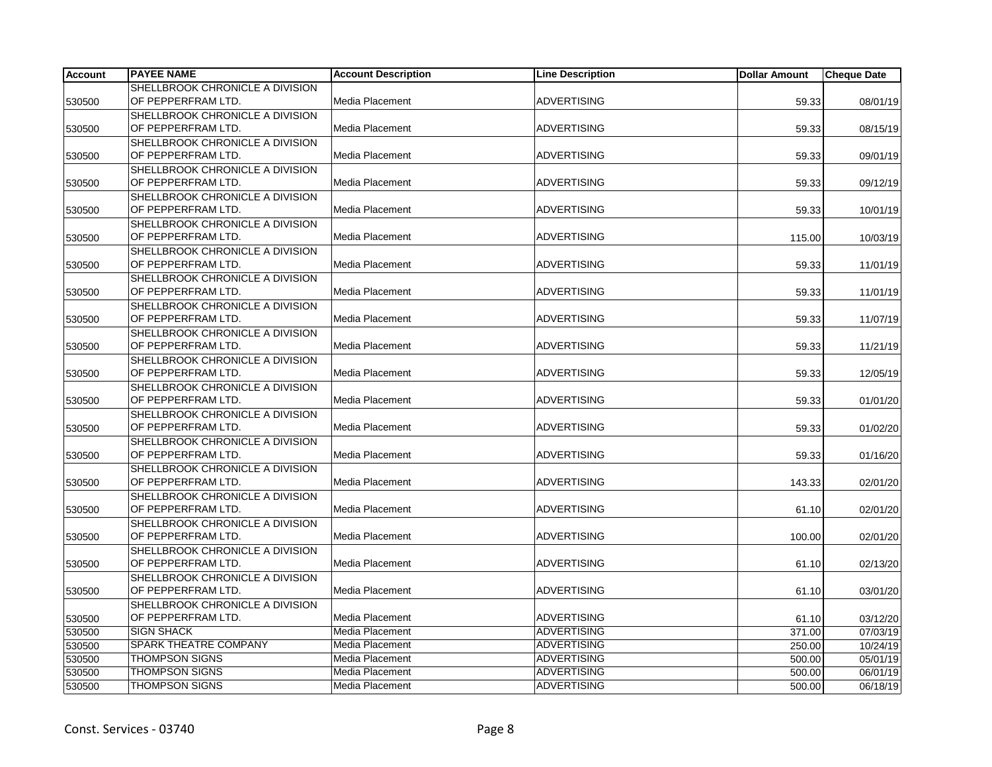| <b>Account</b> | <b>PAYEE NAME</b>                                     | <b>Account Description</b> | <b>Line Description</b> | <b>Dollar Amount</b> | <b>Cheque Date</b> |
|----------------|-------------------------------------------------------|----------------------------|-------------------------|----------------------|--------------------|
|                | SHELLBROOK CHRONICLE A DIVISION                       |                            |                         |                      |                    |
| 530500         | OF PEPPERFRAM LTD.                                    | Media Placement            | <b>ADVERTISING</b>      | 59.33                | 08/01/19           |
|                | SHELLBROOK CHRONICLE A DIVISION                       |                            |                         |                      |                    |
| 530500         | OF PEPPERFRAM LTD.                                    | Media Placement            | <b>ADVERTISING</b>      | 59.33                | 08/15/19           |
|                | SHELLBROOK CHRONICLE A DIVISION                       |                            |                         |                      |                    |
| 530500         | OF PEPPERFRAM LTD.                                    | Media Placement            | <b>ADVERTISING</b>      | 59.33                | 09/01/19           |
|                | SHELLBROOK CHRONICLE A DIVISION                       |                            |                         |                      |                    |
| 530500         | OF PEPPERFRAM LTD.                                    | Media Placement            | <b>ADVERTISING</b>      | 59.33                | 09/12/19           |
|                | SHELLBROOK CHRONICLE A DIVISION                       |                            |                         |                      |                    |
| 530500         | OF PEPPERFRAM LTD.                                    | Media Placement            | <b>ADVERTISING</b>      | 59.33                | 10/01/19           |
|                | SHELLBROOK CHRONICLE A DIVISION                       |                            |                         |                      |                    |
| 530500         | OF PEPPERFRAM LTD.                                    | Media Placement            | <b>ADVERTISING</b>      | 115.00               | 10/03/19           |
|                | SHELLBROOK CHRONICLE A DIVISION                       |                            |                         |                      |                    |
| 530500         | OF PEPPERFRAM LTD.                                    | Media Placement            | <b>ADVERTISING</b>      | 59.33                | 11/01/19           |
|                | SHELLBROOK CHRONICLE A DIVISION                       |                            |                         |                      |                    |
| 530500         | OF PEPPERFRAM LTD.                                    | Media Placement            | <b>ADVERTISING</b>      | 59.33                | 11/01/19           |
|                | SHELLBROOK CHRONICLE A DIVISION                       |                            |                         |                      |                    |
| 530500         | OF PEPPERFRAM LTD.                                    | Media Placement            | <b>ADVERTISING</b>      | 59.33                | 11/07/19           |
|                | SHELLBROOK CHRONICLE A DIVISION                       |                            |                         |                      |                    |
| 530500         | OF PEPPERFRAM LTD.                                    | Media Placement            | <b>ADVERTISING</b>      | 59.33                | 11/21/19           |
|                | SHELLBROOK CHRONICLE A DIVISION                       |                            |                         |                      |                    |
| 530500         | OF PEPPERFRAM LTD.                                    | Media Placement            | <b>ADVERTISING</b>      | 59.33                | 12/05/19           |
|                | SHELLBROOK CHRONICLE A DIVISION                       |                            |                         |                      |                    |
| 530500         | OF PEPPERFRAM LTD.                                    | Media Placement            | <b>ADVERTISING</b>      | 59.33                | 01/01/20           |
|                | SHELLBROOK CHRONICLE A DIVISION                       |                            |                         |                      |                    |
| 530500         | OF PEPPERFRAM LTD.                                    | Media Placement            | <b>ADVERTISING</b>      | 59.33                | 01/02/20           |
|                | SHELLBROOK CHRONICLE A DIVISION                       |                            |                         |                      |                    |
| 530500         | OF PEPPERFRAM LTD.                                    | Media Placement            | <b>ADVERTISING</b>      | 59.33                | 01/16/20           |
|                | SHELLBROOK CHRONICLE A DIVISION                       |                            | <b>ADVERTISING</b>      |                      |                    |
| 530500         | OF PEPPERFRAM LTD.                                    | Media Placement            |                         | 143.33               | 02/01/20           |
|                | SHELLBROOK CHRONICLE A DIVISION<br>OF PEPPERFRAM LTD. | Media Placement            | <b>ADVERTISING</b>      |                      |                    |
| 530500         |                                                       |                            |                         | 61.10                | 02/01/20           |
|                | SHELLBROOK CHRONICLE A DIVISION<br>OF PEPPERFRAM LTD. | Media Placement            | <b>ADVERTISING</b>      | 100.00               |                    |
| 530500         | SHELLBROOK CHRONICLE A DIVISION                       |                            |                         |                      | 02/01/20           |
| 530500         | OF PEPPERFRAM LTD.                                    | Media Placement            | <b>ADVERTISING</b>      | 61.10                | 02/13/20           |
|                | SHELLBROOK CHRONICLE A DIVISION                       |                            |                         |                      |                    |
| 530500         | OF PEPPERFRAM LTD.                                    | Media Placement            | <b>ADVERTISING</b>      | 61.10                | 03/01/20           |
|                | SHELLBROOK CHRONICLE A DIVISION                       |                            |                         |                      |                    |
| 530500         | OF PEPPERFRAM LTD.                                    | Media Placement            | <b>ADVERTISING</b>      | 61.10                | 03/12/20           |
| 530500         | <b>SIGN SHACK</b>                                     | Media Placement            | <b>ADVERTISING</b>      | 371.00               | 07/03/19           |
| 530500         | SPARK THEATRE COMPANY                                 | Media Placement            | <b>ADVERTISING</b>      | 250.00               | 10/24/19           |
| 530500         | <b>THOMPSON SIGNS</b>                                 | Media Placement            | <b>ADVERTISING</b>      | 500.00               | 05/01/19           |
| 530500         | <b>THOMPSON SIGNS</b>                                 | Media Placement            | <b>ADVERTISING</b>      | 500.00               | 06/01/19           |
| 530500         | <b>THOMPSON SIGNS</b>                                 | Media Placement            | <b>ADVERTISING</b>      | 500.00               | 06/18/19           |
|                |                                                       |                            |                         |                      |                    |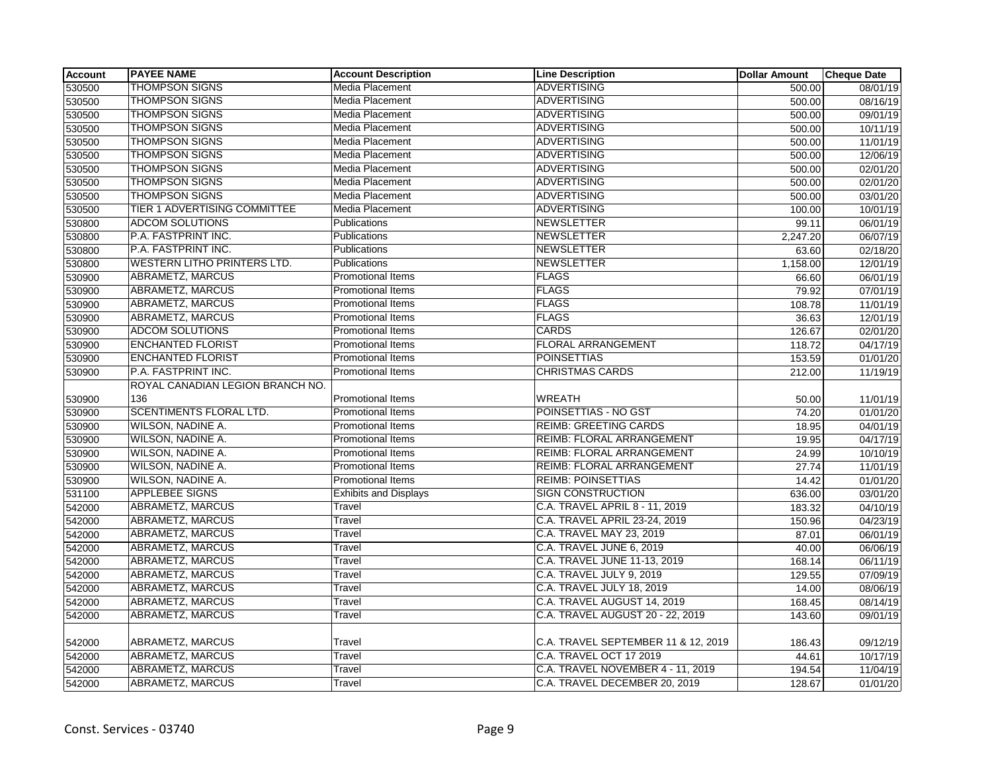| Account | <b>PAYEE NAME</b>                  | <b>Account Description</b>   | <b>Line Description</b>             | <b>Dollar Amount</b> | <b>Cheque Date</b>    |
|---------|------------------------------------|------------------------------|-------------------------------------|----------------------|-----------------------|
| 530500  | <b>THOMPSON SIGNS</b>              | Media Placement              | <b>ADVERTISING</b>                  | 500.00               | 08/01/19              |
| 530500  | <b>THOMPSON SIGNS</b>              | Media Placement              | <b>ADVERTISING</b>                  | 500.00               | 08/16/19              |
| 530500  | <b>THOMPSON SIGNS</b>              | Media Placement              | <b>ADVERTISING</b>                  | 500.00               | 09/01/19              |
| 530500  | <b>THOMPSON SIGNS</b>              | Media Placement              | <b>ADVERTISING</b>                  | 500.00               | 10/11/19              |
| 530500  | <b>THOMPSON SIGNS</b>              | Media Placement              | <b>ADVERTISING</b>                  | 500.00               | 11/01/19              |
| 530500  | <b>THOMPSON SIGNS</b>              | Media Placement              | <b>ADVERTISING</b>                  | 500.00               | 12/06/19              |
| 530500  | <b>THOMPSON SIGNS</b>              | Media Placement              | <b>ADVERTISING</b>                  | 500.00               | 02/01/20              |
| 530500  | <b>THOMPSON SIGNS</b>              | Media Placement              | <b>ADVERTISING</b>                  | 500.00               | 02/01/20              |
| 530500  | <b>THOMPSON SIGNS</b>              | Media Placement              | <b>ADVERTISING</b>                  | 500.00               | 03/01/20              |
| 530500  | TIER 1 ADVERTISING COMMITTEE       | Media Placement              | <b>ADVERTISING</b>                  | 100.00               | 10/01/19              |
| 530800  | <b>ADCOM SOLUTIONS</b>             | Publications                 | <b>NEWSLETTER</b>                   | 99.11                | 06/01/19              |
| 530800  | P.A. FASTPRINT INC.                | Publications                 | <b>NEWSLETTER</b>                   | 2,247.20             | 06/07/19              |
| 530800  | P.A. FASTPRINT INC.                | Publications                 | <b>NEWSLETTER</b>                   | 63.60                | 02/18/20              |
| 530800  | <b>WESTERN LITHO PRINTERS LTD.</b> | Publications                 | <b>NEWSLETTER</b>                   | 1,158.00             | 12/01/19              |
| 530900  | ABRAMETZ, MARCUS                   | Promotional Items            | <b>FLAGS</b>                        | 66.60                | 06/01/19              |
| 530900  | ABRAMETZ, MARCUS                   | <b>Promotional Items</b>     | <b>FLAGS</b>                        | 79.92                | $\frac{1}{07}/01/19$  |
| 530900  | ABRAMETZ, MARCUS                   | <b>Promotional Items</b>     | <b>FLAGS</b>                        | 108.78               | 11/01/19              |
| 530900  | ABRAMETZ, MARCUS                   | Promotional Items            | <b>FLAGS</b>                        | 36.63                | 12/01/19              |
| 530900  | <b>ADCOM SOLUTIONS</b>             | Promotional Items            | <b>CARDS</b>                        | 126.67               | 02/01/20              |
| 530900  | <b>ENCHANTED FLORIST</b>           | <b>Promotional Items</b>     | <b>FLORAL ARRANGEMENT</b>           | 118.72               | 04/17/19              |
| 530900  | <b>ENCHANTED FLORIST</b>           | Promotional Items            | <b>POINSETTIAS</b>                  | 153.59               | 01/01/20              |
| 530900  | P.A. FASTPRINT INC.                | <b>Promotional Items</b>     | <b>CHRISTMAS CARDS</b>              | 212.00               | 11/19/19              |
|         | ROYAL CANADIAN LEGION BRANCH NO.   |                              |                                     |                      |                       |
| 530900  | 136                                | Promotional Items            | <b>WREATH</b>                       | 50.00                | 11/01/19              |
| 530900  | <b>SCENTIMENTS FLORAL LTD.</b>     | <b>Promotional Items</b>     | POINSETTIAS - NO GST                | 74.20                | 01/01/20              |
| 530900  | WILSON, NADINE A.                  | Promotional Items            | <b>REIMB: GREETING CARDS</b>        | 18.95                | $\overline{04/01/19}$ |
| 530900  | WILSON, NADINE A.                  | Promotional Items            | <b>REIMB: FLORAL ARRANGEMENT</b>    | 19.95                | 04/17/19              |
| 530900  | WILSON, NADINE A.                  | <b>Promotional Items</b>     | REIMB: FLORAL ARRANGEMENT           | 24.99                | 10/10/19              |
| 530900  | WILSON, NADINE A.                  | Promotional Items            | REIMB: FLORAL ARRANGEMENT           | 27.74                | 11/01/19              |
| 530900  | <b>WILSON, NADINE A.</b>           | Promotional Items            | <b>REIMB: POINSETTIAS</b>           | 14.42                | 01/01/20              |
| 531100  | <b>APPLEBEE SIGNS</b>              | <b>Exhibits and Displays</b> | <b>SIGN CONSTRUCTION</b>            | 636.00               | 03/01/20              |
| 542000  | ABRAMETZ, MARCUS                   | Travel                       | C.A. TRAVEL APRIL 8 - 11, 2019      | 183.32               | 04/10/19              |
| 542000  | ABRAMETZ, MARCUS                   | Travel                       | C.A. TRAVEL APRIL 23-24, 2019       | 150.96               | 04/23/19              |
| 542000  | ABRAMETZ, MARCUS                   | Travel                       | C.A. TRAVEL MAY 23, 2019            | 87.01                | 06/01/19              |
| 542000  | <b>ABRAMETZ, MARCUS</b>            | Travel                       | C.A. TRAVEL JUNE 6, 2019            | 40.00                | 06/06/19              |
| 542000  | ABRAMETZ, MARCUS                   | Travel                       | C.A. TRAVEL JUNE 11-13, 2019        | 168.14               | 06/11/19              |
| 542000  | <b>ABRAMETZ, MARCUS</b>            | Travel                       | C.A. TRAVEL JULY 9, 2019            | 129.55               | 07/09/19              |
| 542000  | ABRAMETZ, MARCUS                   | Travel                       | C.A. TRAVEL JULY 18, 2019           | 14.00                | 08/06/19              |
| 542000  | <b>ABRAMETZ, MARCUS</b>            | Travel                       | C.A. TRAVEL AUGUST 14, 2019         | 168.45               | 08/14/19              |
| 542000  | <b>ABRAMETZ, MARCUS</b>            | Travel                       | C.A. TRAVEL AUGUST 20 - 22, 2019    | 143.60               | 09/01/19              |
|         |                                    |                              |                                     |                      |                       |
| 542000  | ABRAMETZ, MARCUS                   | Travel                       | C.A. TRAVEL SEPTEMBER 11 & 12, 2019 | 186.43               | 09/12/19              |
| 542000  | <b>ABRAMETZ, MARCUS</b>            | Travel                       | C.A. TRAVEL OCT 17 2019             | 44.61                | 10/17/19              |
| 542000  | ABRAMETZ, MARCUS                   | Travel                       | C.A. TRAVEL NOVEMBER 4 - 11, 2019   | 194.54               | 11/04/19              |
| 542000  | <b>ABRAMETZ, MARCUS</b>            | Travel                       | C.A. TRAVEL DECEMBER 20, 2019       | 128.67               | 01/01/20              |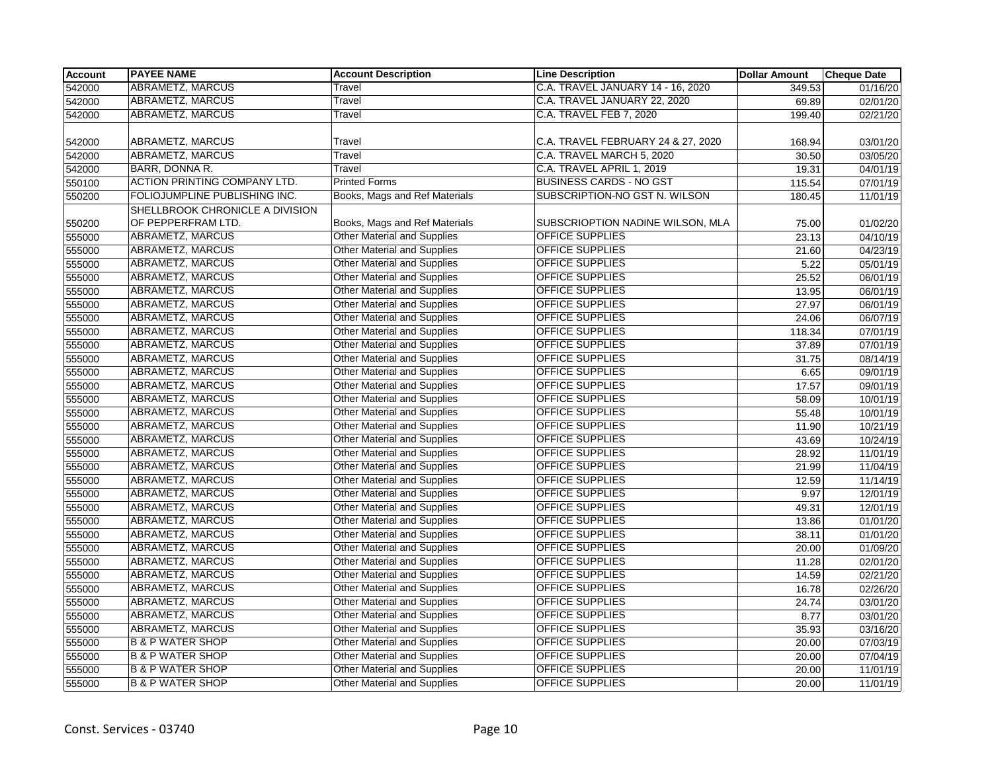| <b>Account</b> | <b>PAYEE NAME</b>                                     | <b>Account Description</b>         | <b>Line Description</b>            | <b>Dollar Amount</b> | <b>Cheque Date</b> |
|----------------|-------------------------------------------------------|------------------------------------|------------------------------------|----------------------|--------------------|
| 542000         | <b>ABRAMETZ, MARCUS</b>                               | Travel                             | C.A. TRAVEL JANUARY 14 - 16, 2020  | 349.53               | 01/16/20           |
| 542000         | <b>ABRAMETZ, MARCUS</b>                               | Travel                             | C.A. TRAVEL JANUARY 22, 2020       | 69.89                | 02/01/20           |
| 542000         | <b>ABRAMETZ, MARCUS</b>                               | Travel                             | <b>C.A. TRAVEL FEB 7, 2020</b>     | 199.40               | 02/21/20           |
|                |                                                       |                                    |                                    |                      |                    |
| 542000         | ABRAMETZ, MARCUS<br><b>ABRAMETZ, MARCUS</b>           | Travel                             | C.A. TRAVEL FEBRUARY 24 & 27, 2020 | 168.94               | 03/01/20           |
| 542000         |                                                       | Travel                             | C.A. TRAVEL MARCH 5, 2020          | 30.50                | 03/05/20           |
| 542000         | BARR, DONNA R.                                        | Travel                             | C.A. TRAVEL APRIL 1, 2019          | 19.31                | 04/01/19           |
| 550100         | <b>ACTION PRINTING COMPANY LTD.</b>                   | <b>Printed Forms</b>               | <b>BUSINESS CARDS - NO GST</b>     | 115.54               | 07/01/19           |
| 550200         | FOLIOJUMPLINE PUBLISHING INC.                         | Books, Mags and Ref Materials      | SUBSCRIPTION-NO GST N. WILSON      | 180.45               | 11/01/19           |
| 550200         | SHELLBROOK CHRONICLE A DIVISION<br>OF PEPPERFRAM LTD. | Books, Mags and Ref Materials      | SUBSCRIOPTION NADINE WILSON, MLA   | 75.00                | 01/02/20           |
| 555000         | <b>ABRAMETZ, MARCUS</b>                               | Other Material and Supplies        | <b>OFFICE SUPPLIES</b>             | 23.13                | 04/10/19           |
| 555000         | <b>ABRAMETZ, MARCUS</b>                               | <b>Other Material and Supplies</b> | <b>OFFICE SUPPLIES</b>             | 21.60                | 04/23/19           |
| 555000         | <b>ABRAMETZ, MARCUS</b>                               | Other Material and Supplies        | OFFICE SUPPLIES                    | 5.22                 | 05/01/19           |
| 555000         | <b>ABRAMETZ, MARCUS</b>                               | Other Material and Supplies        | OFFICE SUPPLIES                    | 25.52                | 06/01/19           |
| 555000         | ABRAMETZ, MARCUS                                      | <b>Other Material and Supplies</b> | OFFICE SUPPLIES                    | 13.95                | 06/01/19           |
| 555000         | ABRAMETZ, MARCUS                                      | Other Material and Supplies        | <b>OFFICE SUPPLIES</b>             | 27.97                | 06/01/19           |
| 555000         | ABRAMETZ, MARCUS                                      | Other Material and Supplies        | OFFICE SUPPLIES                    | 24.06                | 06/07/19           |
| 555000         | ABRAMETZ, MARCUS                                      | Other Material and Supplies        | <b>OFFICE SUPPLIES</b>             | 118.34               | 07/01/19           |
| 555000         | <b>ABRAMETZ, MARCUS</b>                               | <b>Other Material and Supplies</b> | OFFICE SUPPLIES                    | 37.89                | 07/01/19           |
| 555000         | <b>ABRAMETZ, MARCUS</b>                               | <b>Other Material and Supplies</b> | <b>OFFICE SUPPLIES</b>             | 31.75                | 08/14/19           |
| 555000         | <b>ABRAMETZ, MARCUS</b>                               | <b>Other Material and Supplies</b> | <b>OFFICE SUPPLIES</b>             | 6.65                 | 09/01/19           |
| 555000         | ABRAMETZ, MARCUS                                      | <b>Other Material and Supplies</b> | <b>OFFICE SUPPLIES</b>             | 17.57                | 09/01/19           |
| 555000         | <b>ABRAMETZ, MARCUS</b>                               | <b>Other Material and Supplies</b> | OFFICE SUPPLIES                    | 58.09                | 10/01/19           |
| 555000         | <b>ABRAMETZ, MARCUS</b>                               | Other Material and Supplies        | OFFICE SUPPLIES                    | 55.48                | 10/01/19           |
| 555000         | <b>ABRAMETZ, MARCUS</b>                               | <b>Other Material and Supplies</b> | <b>OFFICE SUPPLIES</b>             | 11.90                | 10/21/19           |
| 555000         | <b>ABRAMETZ, MARCUS</b>                               | <b>Other Material and Supplies</b> | <b>OFFICE SUPPLIES</b>             | 43.69                | 10/24/19           |
| 555000         | <b>ABRAMETZ, MARCUS</b>                               | Other Material and Supplies        | <b>OFFICE SUPPLIES</b>             | 28.92                | 11/01/19           |
| 555000         | <b>ABRAMETZ, MARCUS</b>                               | <b>Other Material and Supplies</b> | OFFICE SUPPLIES                    | 21.99                | 11/04/19           |
| 555000         | <b>ABRAMETZ, MARCUS</b>                               | <b>Other Material and Supplies</b> | OFFICE SUPPLIES                    | 12.59                | 11/14/19           |
| 555000         | <b>ABRAMETZ, MARCUS</b>                               | <b>Other Material and Supplies</b> | OFFICE SUPPLIES                    | 9.97                 | 12/01/19           |
| 555000         | ABRAMETZ, MARCUS                                      | <b>Other Material and Supplies</b> | <b>OFFICE SUPPLIES</b>             | 49.31                | 12/01/19           |
| 555000         | <b>ABRAMETZ, MARCUS</b>                               | Other Material and Supplies        | <b>OFFICE SUPPLIES</b>             | 13.86                | 01/01/20           |
| 555000         | ABRAMETZ, MARCUS                                      | <b>Other Material and Supplies</b> | OFFICE SUPPLIES                    | 38.11                | 01/01/20           |
| 555000         | <b>ABRAMETZ, MARCUS</b>                               | <b>Other Material and Supplies</b> | OFFICE SUPPLIES                    | 20.00                | 01/09/20           |
| 555000         | <b>ABRAMETZ, MARCUS</b>                               | Other Material and Supplies        | OFFICE SUPPLIES                    | 11.28                | 02/01/20           |
| 555000         | <b>ABRAMETZ, MARCUS</b>                               | <b>Other Material and Supplies</b> | <b>OFFICE SUPPLIES</b>             | 14.59                | 02/21/20           |
| 555000         | ABRAMETZ, MARCUS                                      | Other Material and Supplies        | <b>OFFICE SUPPLIES</b>             | 16.78                | 02/26/20           |
| 555000         | <b>ABRAMETZ, MARCUS</b>                               | Other Material and Supplies        | OFFICE SUPPLIES                    | 24.74                | 03/01/20           |
| 555000         | ABRAMETZ, MARCUS                                      | Other Material and Supplies        | OFFICE SUPPLIES                    | 8.77                 | 03/01/20           |
| 555000         | <b>ABRAMETZ, MARCUS</b>                               | Other Material and Supplies        | OFFICE SUPPLIES                    | 35.93                | 03/16/20           |
| 555000         | <b>B &amp; P WATER SHOP</b>                           | <b>Other Material and Supplies</b> | <b>OFFICE SUPPLIES</b>             | 20.00                | 07/03/19           |
| 555000         | <b>B &amp; P WATER SHOP</b>                           | <b>Other Material and Supplies</b> | <b>OFFICE SUPPLIES</b>             | 20.00                | 07/04/19           |
| 555000         | <b>B &amp; P WATER SHOP</b>                           | Other Material and Supplies        | <b>OFFICE SUPPLIES</b>             | 20.00                | 11/01/19           |
| 555000         | <b>B &amp; P WATER SHOP</b>                           | <b>Other Material and Supplies</b> | OFFICE SUPPLIES                    | 20.00                | 11/01/19           |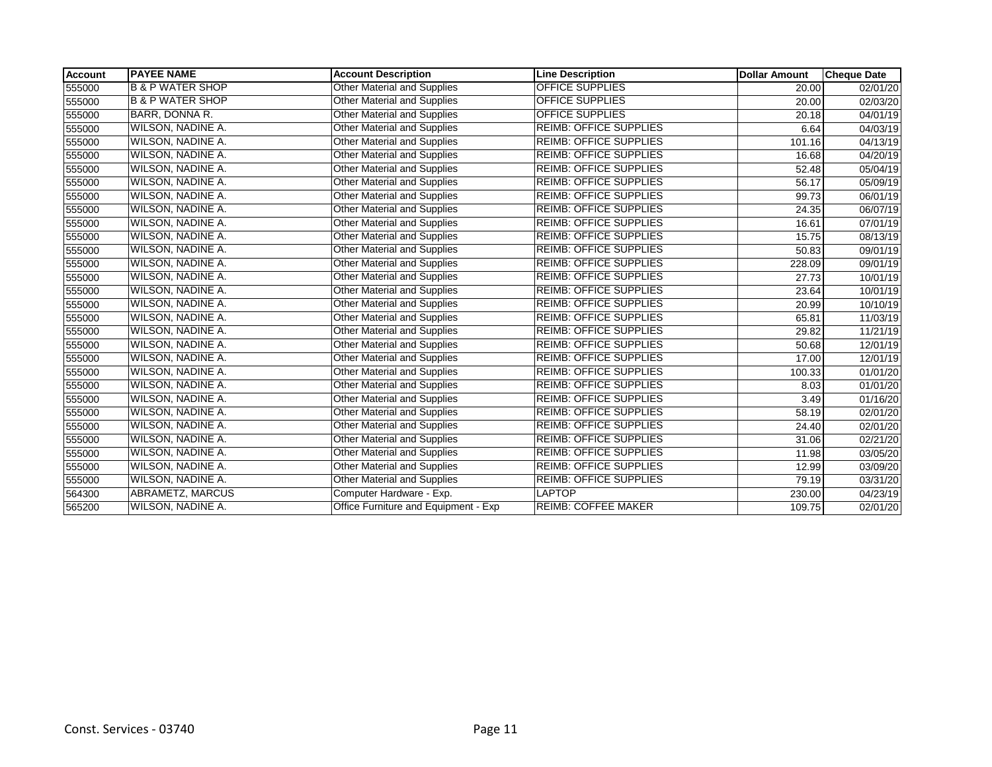| <b>Account</b> | <b>PAYEE NAME</b>           | <b>Account Description</b>           | <b>Line Description</b>       | Dollar Amount | <b>Cheque Date</b>     |
|----------------|-----------------------------|--------------------------------------|-------------------------------|---------------|------------------------|
| 555000         | <b>B &amp; P WATER SHOP</b> | <b>Other Material and Supplies</b>   | <b>OFFICE SUPPLIES</b>        | 20.00         | 02/01/20               |
| 555000         | <b>B &amp; P WATER SHOP</b> | Other Material and Supplies          | <b>OFFICE SUPPLIES</b>        | 20.00         | 02/03/20               |
| 555000         | BARR, DONNA R.              | Other Material and Supplies          | <b>OFFICE SUPPLIES</b>        | 20.18         | 04/01/19               |
| 555000         | WILSON, NADINE A.           | <b>Other Material and Supplies</b>   | <b>REIMB: OFFICE SUPPLIES</b> | 6.64          | 04/03/19               |
| 555000         | WILSON, NADINE A.           | Other Material and Supplies          | <b>REIMB: OFFICE SUPPLIES</b> | 101.16        | $\overline{04}/13/19$  |
| 555000         | WILSON, NADINE A.           | <b>Other Material and Supplies</b>   | <b>REIMB: OFFICE SUPPLIES</b> | 16.68         | 04/20/19               |
| 555000         | WILSON, NADINE A.           | <b>Other Material and Supplies</b>   | <b>REIMB: OFFICE SUPPLIES</b> | 52.48         | 05/04/19               |
| 555000         | WILSON, NADINE A.           | Other Material and Supplies          | <b>REIMB: OFFICE SUPPLIES</b> | 56.17         | 05/09/19               |
| 555000         | WILSON, NADINE A.           | Other Material and Supplies          | <b>REIMB: OFFICE SUPPLIES</b> | 99.73         | 06/01/19               |
| 555000         | WILSON, NADINE A.           | <b>Other Material and Supplies</b>   | <b>REIMB: OFFICE SUPPLIES</b> | 24.35         | 06/07/19               |
| 555000         | WILSON, NADINE A.           | Other Material and Supplies          | <b>REIMB: OFFICE SUPPLIES</b> | 16.61         | 07/01/19               |
| 555000         | WILSON, NADINE A.           | <b>Other Material and Supplies</b>   | <b>REIMB: OFFICE SUPPLIES</b> | 15.75         | 08/13/19               |
| 555000         | WILSON, NADINE A.           | <b>Other Material and Supplies</b>   | <b>REIMB: OFFICE SUPPLIES</b> | 50.83         | 09/01/19               |
| 555000         | WILSON, NADINE A.           | Other Material and Supplies          | <b>REIMB: OFFICE SUPPLIES</b> | 228.09        | 09/01/19               |
| 555000         | WILSON, NADINE A.           | Other Material and Supplies          | <b>REIMB: OFFICE SUPPLIES</b> | 27.73         | 10/01/19               |
| 555000         | WILSON, NADINE A.           | Other Material and Supplies          | <b>REIMB: OFFICE SUPPLIES</b> | 23.64         | 10/01/19               |
| 555000         | WILSON, NADINE A.           | Other Material and Supplies          | <b>REIMB: OFFICE SUPPLIES</b> | 20.99         | $\frac{10}{10}$ /10/19 |
| 555000         | WILSON, NADINE A.           | Other Material and Supplies          | <b>REIMB: OFFICE SUPPLIES</b> | 65.81         | 11/03/19               |
| 555000         | WILSON, NADINE A.           | Other Material and Supplies          | <b>REIMB: OFFICE SUPPLIES</b> | 29.82         | 11/21/19               |
| 555000         | WILSON, NADINE A.           | Other Material and Supplies          | <b>REIMB: OFFICE SUPPLIES</b> | 50.68         | 12/01/19               |
| 555000         | WILSON, NADINE A.           | Other Material and Supplies          | <b>REIMB: OFFICE SUPPLIES</b> | 17.00         | 12/01/19               |
| 555000         | WILSON, NADINE A.           | Other Material and Supplies          | <b>REIMB: OFFICE SUPPLIES</b> | 100.33        | $\overline{01}/01/20$  |
| 555000         | WILSON, NADINE A.           | <b>Other Material and Supplies</b>   | <b>REIMB: OFFICE SUPPLIES</b> | 8.03          | 01/01/20               |
| 555000         | WILSON, NADINE A.           | <b>Other Material and Supplies</b>   | <b>REIMB: OFFICE SUPPLIES</b> | 3.49          | 01/16/20               |
| 555000         | WILSON, NADINE A.           | Other Material and Supplies          | <b>REIMB: OFFICE SUPPLIES</b> | 58.19         | 02/01/20               |
| 555000         | WILSON, NADINE A.           | <b>Other Material and Supplies</b>   | <b>REIMB: OFFICE SUPPLIES</b> | 24.40         | $\overline{02}/01/20$  |
| 555000         | WILSON, NADINE A.           | <b>Other Material and Supplies</b>   | <b>REIMB: OFFICE SUPPLIES</b> | 31.06         | 02/21/20               |
| 555000         | WILSON, NADINE A.           | <b>Other Material and Supplies</b>   | <b>REIMB: OFFICE SUPPLIES</b> | 11.98         | 03/05/20               |
| 555000         | WILSON, NADINE A.           | <b>Other Material and Supplies</b>   | <b>REIMB: OFFICE SUPPLIES</b> | 12.99         | 03/09/20               |
| 555000         | WILSON, NADINE A.           | Other Material and Supplies          | <b>REIMB: OFFICE SUPPLIES</b> | 79.19         | 03/31/20               |
| 564300         | ABRAMETZ, MARCUS            | Computer Hardware - Exp.             | <b>LAPTOP</b>                 | 230.00        | 04/23/19               |
| 565200         | WILSON, NADINE A.           | Office Furniture and Equipment - Exp | <b>REIMB: COFFEE MAKER</b>    | 109.75        | 02/01/20               |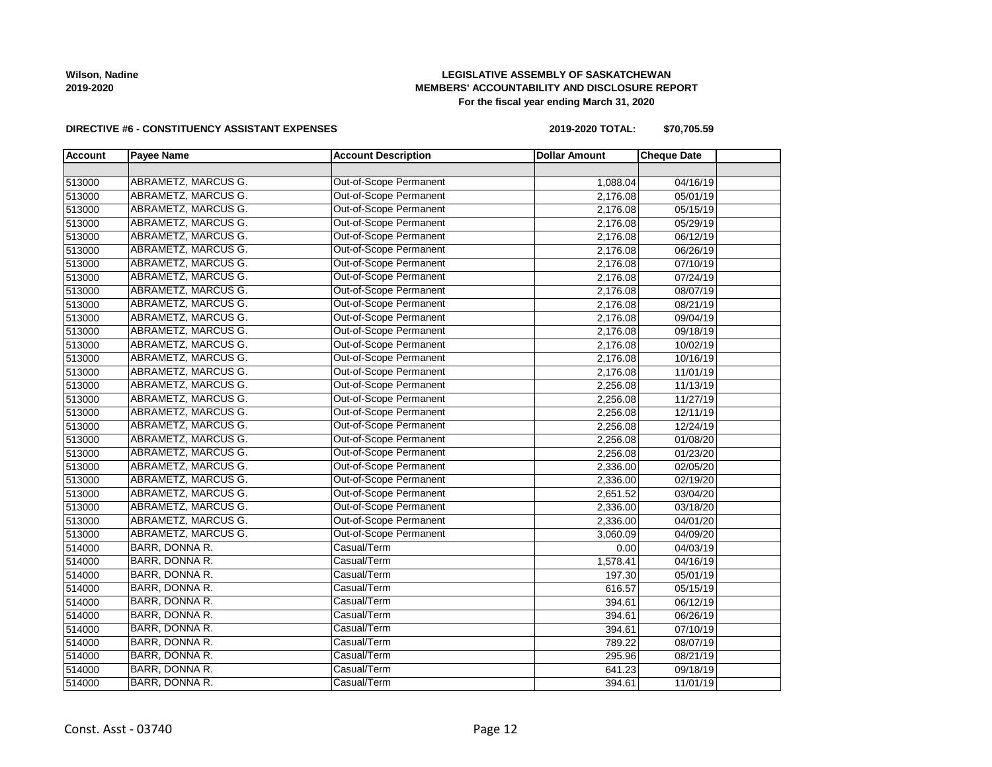# **LEGISLATIVE ASSEMBLY OF SASKATCHEWAN MEMBERS' ACCOUNTABILITY AND DISCLOSURE REPORT For the fiscal year ending March 31, 2020**

### **DIRECTIVE #6 - CONSTITUENCY ASSISTANT EXPENSES**

**2019-2020 TOTAL: \$70,705.59**

| <b>Account</b> | <b>Payee Name</b>          | <b>Account Description</b> | <b>Dollar Amount</b> | <b>Cheque Date</b> |  |
|----------------|----------------------------|----------------------------|----------------------|--------------------|--|
|                |                            |                            |                      |                    |  |
| 513000         | ABRAMETZ, MARCUS G.        | Out-of-Scope Permanent     | 1,088.04             | 04/16/19           |  |
| 513000         | ABRAMETZ, MARCUS G.        | Out-of-Scope Permanent     | 2,176.08             | 05/01/19           |  |
| 513000         | ABRAMETZ, MARCUS G.        | Out-of-Scope Permanent     | 2,176.08             | 05/15/19           |  |
| 513000         | ABRAMETZ, MARCUS G.        | Out-of-Scope Permanent     | 2,176.08             | 05/29/19           |  |
| 513000         | ABRAMETZ, MARCUS G.        | Out-of-Scope Permanent     | 2,176.08             | 06/12/19           |  |
| 513000         | ABRAMETZ, MARCUS G.        | Out-of-Scope Permanent     | 2,176.08             | 06/26/19           |  |
| 513000         | ABRAMETZ, MARCUS G.        | Out-of-Scope Permanent     | 2,176.08             | 07/10/19           |  |
| 513000         | ABRAMETZ, MARCUS G.        | Out-of-Scope Permanent     | 2,176.08             | 07/24/19           |  |
| 513000         | ABRAMETZ, MARCUS G.        | Out-of-Scope Permanent     | 2,176.08             | 08/07/19           |  |
| 513000         | <b>ABRAMETZ, MARCUS G.</b> | Out-of-Scope Permanent     | 2,176.08             | 08/21/19           |  |
| 513000         | ABRAMETZ, MARCUS G.        | Out-of-Scope Permanent     | 2,176.08             | 09/04/19           |  |
| 513000         | ABRAMETZ, MARCUS G.        | Out-of-Scope Permanent     | 2,176.08             | 09/18/19           |  |
| 513000         | ABRAMETZ, MARCUS G.        | Out-of-Scope Permanent     | 2,176.08             | 10/02/19           |  |
| 513000         | ABRAMETZ, MARCUS G.        | Out-of-Scope Permanent     | 2,176.08             | 10/16/19           |  |
| 513000         | ABRAMETZ, MARCUS G.        | Out-of-Scope Permanent     | 2,176.08             | 11/01/19           |  |
| 513000         | ABRAMETZ, MARCUS G.        | Out-of-Scope Permanent     | 2,256.08             | 11/13/19           |  |
| 513000         | ABRAMETZ, MARCUS G.        | Out-of-Scope Permanent     | 2,256.08             | 11/27/19           |  |
| 513000         | ABRAMETZ, MARCUS G.        | Out-of-Scope Permanent     | 2,256.08             | 12/11/19           |  |
| 513000         | ABRAMETZ, MARCUS G.        | Out-of-Scope Permanent     | 2,256.08             | 12/24/19           |  |
| 513000         | ABRAMETZ, MARCUS G.        | Out-of-Scope Permanent     | 2,256.08             | 01/08/20           |  |
| 513000         | ABRAMETZ, MARCUS G.        | Out-of-Scope Permanent     | 2,256.08             | 01/23/20           |  |
| 513000         | ABRAMETZ, MARCUS G.        | Out-of-Scope Permanent     | 2,336.00             | 02/05/20           |  |
| 513000         | ABRAMETZ, MARCUS G.        | Out-of-Scope Permanent     | 2,336.00             | 02/19/20           |  |
| 513000         | ABRAMETZ, MARCUS G.        | Out-of-Scope Permanent     | 2,651.52             | 03/04/20           |  |
| 513000         | <b>ABRAMETZ, MARCUS G.</b> | Out-of-Scope Permanent     | 2,336.00             | 03/18/20           |  |
| 513000         | ABRAMETZ, MARCUS G.        | Out-of-Scope Permanent     | 2,336.00             | 04/01/20           |  |
| 513000         | ABRAMETZ, MARCUS G.        | Out-of-Scope Permanent     | 3,060.09             | 04/09/20           |  |
| 514000         | BARR, DONNA R.             | Casual/Term                | 0.00                 | 04/03/19           |  |
| 514000         | BARR, DONNA R.             | Casual/Term                | 1,578.41             | 04/16/19           |  |
| 514000         | BARR, DONNA R.             | Casual/Term                | 197.30               | 05/01/19           |  |
| 514000         | <b>BARR, DONNA R.</b>      | Casual/Term                | 616.57               | 05/15/19           |  |
| 514000         | BARR, DONNA R.             | Casual/Term                | 394.61               | 06/12/19           |  |
| 514000         | BARR, DONNA R.             | Casual/Term                | 394.61               | 06/26/19           |  |
| 514000         | BARR, DONNA R.             | Casual/Term                | 394.61               | 07/10/19           |  |
| 514000         | BARR, DONNA R.             | Casual/Term                | 789.22               | 08/07/19           |  |
| 514000         | BARR, DONNA R.             | Casual/Term                | 295.96               | 08/21/19           |  |
| 514000         | BARR, DONNA R.             | Casual/Term                | 641.23               | 09/18/19           |  |
| 514000         | BARR, DONNA R.             | Casual/Term                | 394.61               | 11/01/19           |  |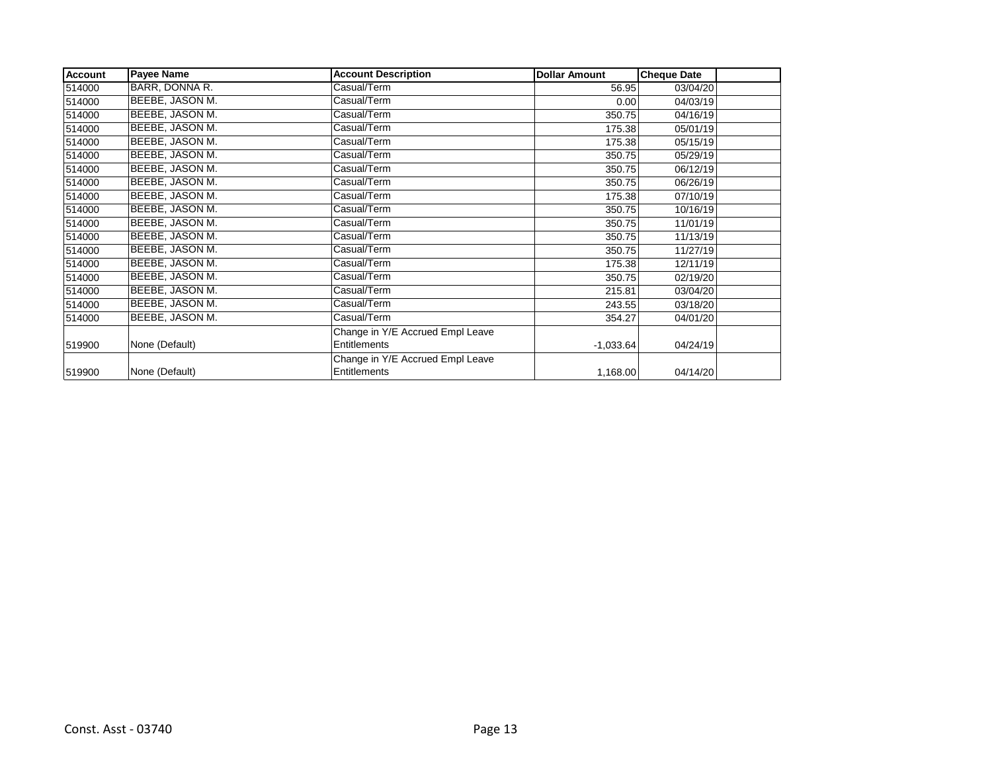| <b>Account</b> | <b>Payee Name</b> | <b>Account Description</b>       | <b>Dollar Amount</b> | <b>Cheque Date</b> |
|----------------|-------------------|----------------------------------|----------------------|--------------------|
| 514000         | BARR, DONNA R.    | Casual/Term                      | 56.95                | 03/04/20           |
| 514000         | BEEBE, JASON M.   | Casual/Term                      | 0.00                 | 04/03/19           |
| 514000         | BEEBE, JASON M.   | Casual/Term                      | 350.75               | 04/16/19           |
| 514000         | BEEBE, JASON M.   | Casual/Term                      | 175.38               | 05/01/19           |
| 514000         | BEEBE, JASON M.   | Casual/Term                      | 175.38               | 05/15/19           |
| 514000         | BEEBE, JASON M.   | Casual/Term                      | 350.75               | 05/29/19           |
| 514000         | BEEBE, JASON M.   | Casual/Term                      | 350.75               | 06/12/19           |
| 514000         | BEEBE, JASON M.   | Casual/Term                      | 350.75               | 06/26/19           |
| 514000         | BEEBE, JASON M.   | Casual/Term                      | 175.38               | 07/10/19           |
| 514000         | BEEBE, JASON M.   | Casual/Term                      | 350.75               | 10/16/19           |
| 514000         | BEEBE, JASON M.   | Casual/Term                      | 350.75               | 11/01/19           |
| 514000         | BEEBE, JASON M.   | Casual/Term                      | 350.75               | 11/13/19           |
| 514000         | BEEBE, JASON M.   | Casual/Term                      | 350.75               | 11/27/19           |
| 514000         | BEEBE, JASON M.   | Casual/Term                      | 175.38               | 12/11/19           |
| 514000         | BEEBE, JASON M.   | Casual/Term                      | 350.75               | 02/19/20           |
| 514000         | BEEBE, JASON M.   | Casual/Term                      | 215.81               | 03/04/20           |
| 514000         | BEEBE, JASON M.   | Casual/Term                      | 243.55               | 03/18/20           |
| 514000         | BEEBE, JASON M.   | Casual/Term                      | 354.27               | 04/01/20           |
|                |                   | Change in Y/E Accrued Empl Leave |                      |                    |
| 519900         | None (Default)    | Entitlements                     | $-1,033.64$          | 04/24/19           |
|                |                   | Change in Y/E Accrued Empl Leave |                      |                    |
| 519900         | None (Default)    | Entitlements                     | 1,168.00             | 04/14/20           |